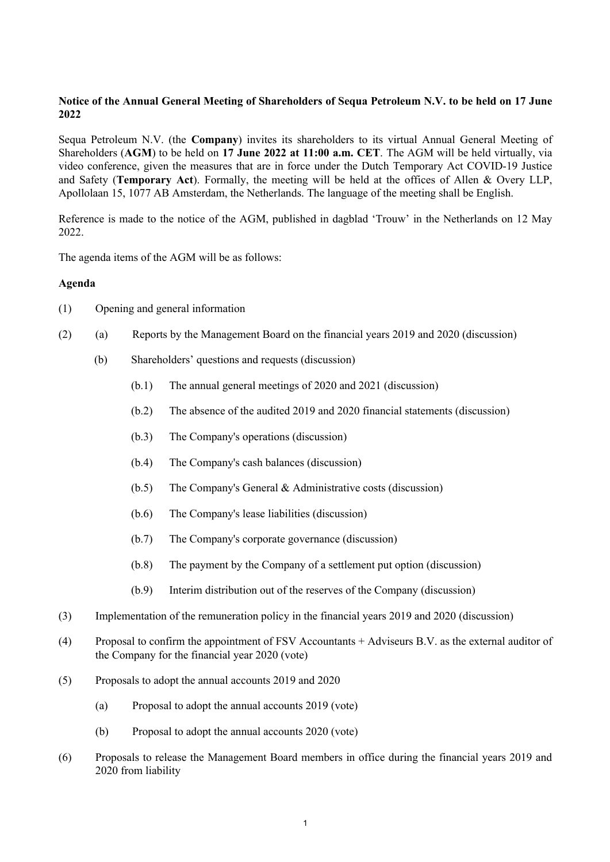# **Notice of the Annual General Meeting of Shareholders of Sequa Petroleum N.V. to be held on 17 June 2022**

Sequa Petroleum N.V. (the **Company**) invites its shareholders to its virtual Annual General Meeting of Shareholders (**AGM**) to be held on **17 June 2022 at 11:00 a.m. CET**. The AGM will be held virtually, via video conference, given the measures that are in force under the Dutch Temporary Act COVID-19 Justice and Safety (**Temporary Act**). Formally, the meeting will be held at the offices of Allen & Overy LLP, Apollolaan 15, 1077 AB Amsterdam, the Netherlands. The language of the meeting shall be English.

Reference is made to the notice of the AGM, published in dagblad 'Trouw' in the Netherlands on 12 May 2022.

The agenda items of the AGM will be as follows:

## **Agenda**

- (1) Opening and general information
- (2) (a) Reports by the Management Board on the financial years 2019 and 2020 (discussion)
	- (b) Shareholders' questions and requests (discussion)
		- (b.1) The annual general meetings of 2020 and 2021 (discussion)
		- (b.2) The absence of the audited 2019 and 2020 financial statements (discussion)
		- (b.3) The Company's operations (discussion)
		- (b.4) The Company's cash balances (discussion)
		- (b.5) The Company's General & Administrative costs (discussion)
		- (b.6) The Company's lease liabilities (discussion)
		- (b.7) The Company's corporate governance (discussion)
		- (b.8) The payment by the Company of a settlement put option (discussion)
		- (b.9) Interim distribution out of the reserves of the Company (discussion)
- (3) Implementation of the remuneration policy in the financial years 2019 and 2020 (discussion)
- (4) Proposal to confirm the appointment of FSV Accountants + Adviseurs B.V. as the external auditor of the Company for the financial year 2020 (vote)
- (5) Proposals to adopt the annual accounts 2019 and 2020
	- (a) Proposal to adopt the annual accounts 2019 (vote)
	- (b) Proposal to adopt the annual accounts 2020 (vote)
- (6) Proposals to release the Management Board members in office during the financial years 2019 and 2020 from liability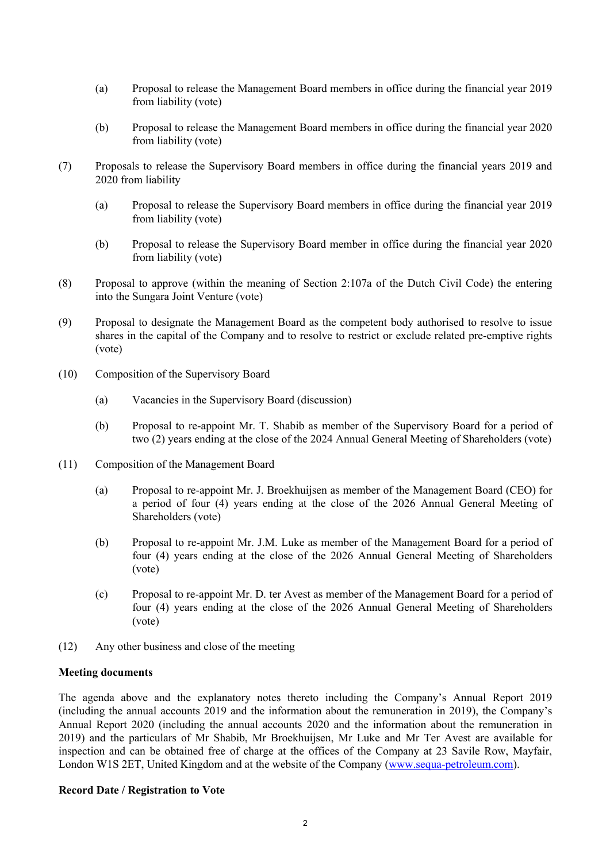- (a) Proposal to release the Management Board members in office during the financial year 2019 from liability (vote)
- (b) Proposal to release the Management Board members in office during the financial year 2020 from liability (vote)
- (7) Proposals to release the Supervisory Board members in office during the financial years 2019 and 2020 from liability
	- (a) Proposal to release the Supervisory Board members in office during the financial year 2019 from liability (vote)
	- (b) Proposal to release the Supervisory Board member in office during the financial year 2020 from liability (vote)
- (8) Proposal to approve (within the meaning of Section 2:107a of the Dutch Civil Code) the entering into the Sungara Joint Venture (vote)
- (9) Proposal to designate the Management Board as the competent body authorised to resolve to issue shares in the capital of the Company and to resolve to restrict or exclude related pre-emptive rights (vote)
- (10) Composition of the Supervisory Board
	- (a) Vacancies in the Supervisory Board (discussion)
	- (b) Proposal to re-appoint Mr. T. Shabib as member of the Supervisory Board for a period of two (2) years ending at the close of the 2024 Annual General Meeting of Shareholders (vote)
- (11) Composition of the Management Board
	- (a) Proposal to re-appoint Mr. J. Broekhuijsen as member of the Management Board (CEO) for a period of four (4) years ending at the close of the 2026 Annual General Meeting of Shareholders (vote)
	- (b) Proposal to re-appoint Mr. J.M. Luke as member of the Management Board for a period of four (4) years ending at the close of the 2026 Annual General Meeting of Shareholders (vote)
	- (c) Proposal to re-appoint Mr. D. ter Avest as member of the Management Board for a period of four (4) years ending at the close of the 2026 Annual General Meeting of Shareholders (vote)
- (12) Any other business and close of the meeting

#### **Meeting documents**

The agenda above and the explanatory notes thereto including the Company's Annual Report 2019 (including the annual accounts 2019 and the information about the remuneration in 2019), the Company's Annual Report 2020 (including the annual accounts 2020 and the information about the remuneration in 2019) and the particulars of Mr Shabib, Mr Broekhuijsen, Mr Luke and Mr Ter Avest are available for inspection and can be obtained free of charge at the offices of the Company at 23 Savile Row, Mayfair, London W1S 2ET, United Kingdom and at the website of the Company (www.sequa-petroleum.com).

#### **Record Date / Registration to Vote**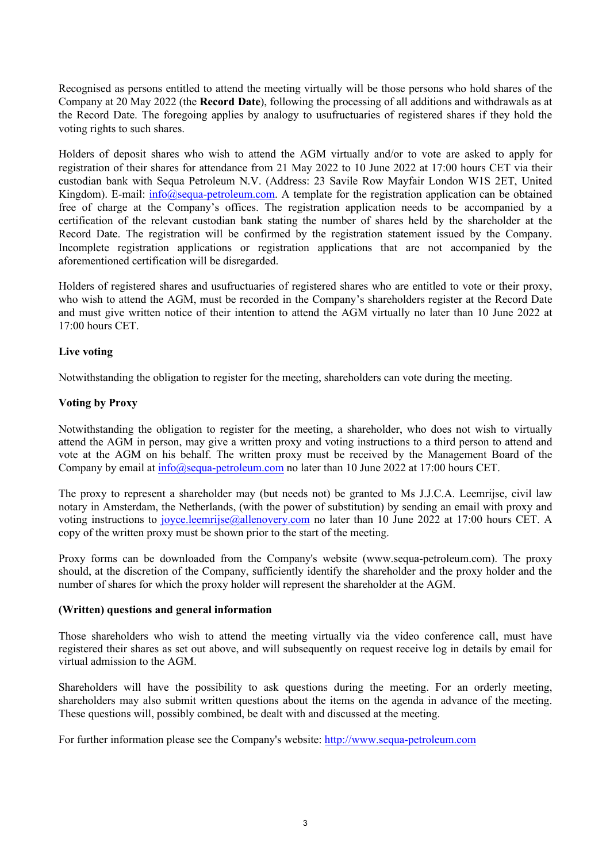Recognised as persons entitled to attend the meeting virtually will be those persons who hold shares of the Company at 20 May 2022 (the **Record Date**), following the processing of all additions and withdrawals as at the Record Date. The foregoing applies by analogy to usufructuaries of registered shares if they hold the voting rights to such shares.

Holders of deposit shares who wish to attend the AGM virtually and/or to vote are asked to apply for registration of their shares for attendance from 21 May 2022 to 10 June 2022 at 17:00 hours CET via their custodian bank with Sequa Petroleum N.V. (Address: 23 Savile Row Mayfair London W1S 2ET, United Kingdom). E-mail: info@sequa-petroleum.com. A template for the registration application can be obtained free of charge at the Company's offices. The registration application needs to be accompanied by a certification of the relevant custodian bank stating the number of shares held by the shareholder at the Record Date. The registration will be confirmed by the registration statement issued by the Company. Incomplete registration applications or registration applications that are not accompanied by the aforementioned certification will be disregarded.

Holders of registered shares and usufructuaries of registered shares who are entitled to vote or their proxy, who wish to attend the AGM, must be recorded in the Company's shareholders register at the Record Date and must give written notice of their intention to attend the AGM virtually no later than 10 June 2022 at 17:00 hours CET.

## **Live voting**

Notwithstanding the obligation to register for the meeting, shareholders can vote during the meeting.

## **Voting by Proxy**

Notwithstanding the obligation to register for the meeting, a shareholder, who does not wish to virtually attend the AGM in person, may give a written proxy and voting instructions to a third person to attend and vote at the AGM on his behalf. The written proxy must be received by the Management Board of the Company by email at info@sequa-petroleum.com no later than 10 June 2022 at 17:00 hours CET.

The proxy to represent a shareholder may (but needs not) be granted to Ms J.J.C.A. Leemrijse, civil law notary in Amsterdam, the Netherlands, (with the power of substitution) by sending an email with proxy and voting instructions to joyce.leemrijse@allenovery.com no later than 10 June 2022 at 17:00 hours CET. A copy of the written proxy must be shown prior to the start of the meeting.

Proxy forms can be downloaded from the Company's website (www.sequa-petroleum.com). The proxy should, at the discretion of the Company, sufficiently identify the shareholder and the proxy holder and the number of shares for which the proxy holder will represent the shareholder at the AGM.

## **(Written) questions and general information**

Those shareholders who wish to attend the meeting virtually via the video conference call, must have registered their shares as set out above, and will subsequently on request receive log in details by email for virtual admission to the AGM.

Shareholders will have the possibility to ask questions during the meeting. For an orderly meeting, shareholders may also submit written questions about the items on the agenda in advance of the meeting. These questions will, possibly combined, be dealt with and discussed at the meeting.

For further information please see the Company's website: http://www.sequa-petroleum.com